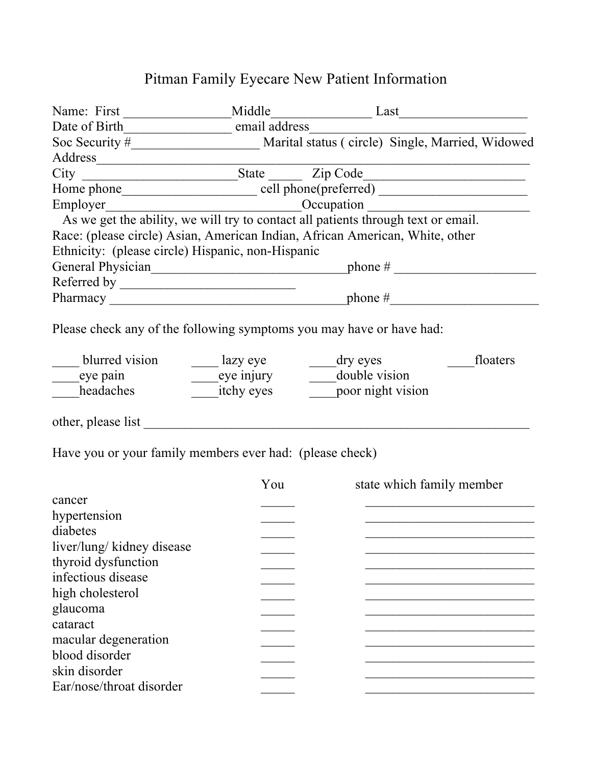## Pitman Family Eyecare New Patient Information

| Name: First                                                                       | Middle                                                          |                   | Last                            |  |
|-----------------------------------------------------------------------------------|-----------------------------------------------------------------|-------------------|---------------------------------|--|
| Date of Birth________________________ email address____                           |                                                                 |                   |                                 |  |
|                                                                                   | Soc Security # Marital status (circle) Single, Married, Widowed |                   |                                 |  |
|                                                                                   |                                                                 |                   |                                 |  |
|                                                                                   |                                                                 |                   |                                 |  |
|                                                                                   |                                                                 |                   |                                 |  |
| Employer                                                                          |                                                                 |                   | $\overbrace{\text{Occupation}}$ |  |
| As we get the ability, we will try to contact all patients through text or email. |                                                                 |                   |                                 |  |
| Race: (please circle) Asian, American Indian, African American, White, other      |                                                                 |                   |                                 |  |
| Ethnicity: (please circle) Hispanic, non-Hispanic                                 |                                                                 |                   |                                 |  |
|                                                                                   |                                                                 |                   |                                 |  |
|                                                                                   |                                                                 |                   |                                 |  |
|                                                                                   |                                                                 |                   |                                 |  |
| Please check any of the following symptoms you may have or have had:              |                                                                 |                   |                                 |  |
|                                                                                   |                                                                 |                   |                                 |  |
| blurred vision _________ lazy eye                                                 |                                                                 | $\frac{dy}{dx}$   | floaters                        |  |
| ______eye pain                                                                    |                                                                 |                   |                                 |  |
| headaches                                                                         | <i>itchy eyes</i>                                               | poor night vision |                                 |  |
|                                                                                   |                                                                 |                   |                                 |  |
|                                                                                   |                                                                 |                   |                                 |  |
| Have you or your family members ever had: (please check)                          |                                                                 |                   |                                 |  |
|                                                                                   | You                                                             |                   | state which family member       |  |
| cancer                                                                            |                                                                 |                   |                                 |  |
| hypertension                                                                      |                                                                 |                   |                                 |  |
| diabetes                                                                          |                                                                 |                   |                                 |  |
| liver/lung/ kidney disease                                                        |                                                                 |                   |                                 |  |
| thyroid dysfunction                                                               |                                                                 |                   |                                 |  |
| infectious disease                                                                |                                                                 |                   |                                 |  |
| high cholesterol                                                                  |                                                                 |                   |                                 |  |
| glaucoma                                                                          |                                                                 |                   |                                 |  |
| cataract                                                                          |                                                                 |                   |                                 |  |
| macular degeneration                                                              |                                                                 |                   |                                 |  |
| blood disorder                                                                    |                                                                 |                   |                                 |  |
| skin disorder                                                                     |                                                                 |                   |                                 |  |
| Ear/nose/throat disorder                                                          |                                                                 |                   |                                 |  |